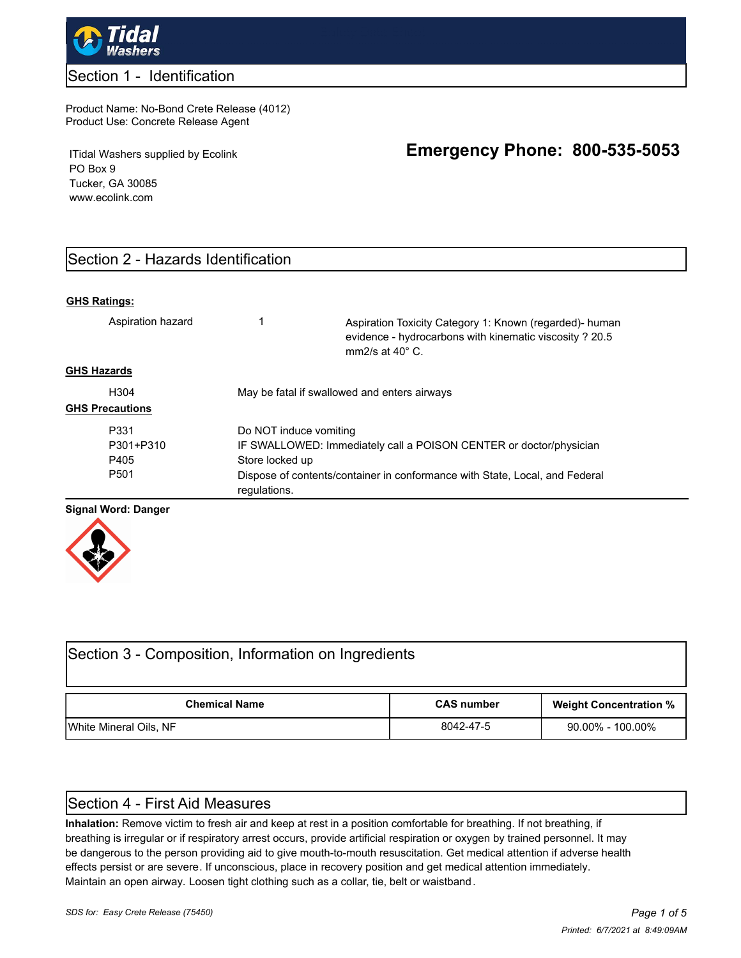

#### Section 1 - Identification

#### Product Name: No-Bond Crete Release (4012) Product Use: Concrete Release Agent

ITidal Washers supplied by Ecolink PO Box 9 Tucker, GA 30085 www.ecolink.com

# **Emergency Phone: 800-535-5053**

# Section 2 - Hazards Identification

#### **GHS Ratings:**

| Aspiration hazard      |                                                                                             | Aspiration Toxicity Category 1: Known (regarded) human<br>evidence - hydrocarbons with kinematic viscosity ? 20.5<br>mm $2$ /s at 40 $^{\circ}$ C. |  |  |  |
|------------------------|---------------------------------------------------------------------------------------------|----------------------------------------------------------------------------------------------------------------------------------------------------|--|--|--|
| <b>GHS Hazards</b>     |                                                                                             |                                                                                                                                                    |  |  |  |
| H <sub>304</sub>       | May be fatal if swallowed and enters airways                                                |                                                                                                                                                    |  |  |  |
| <b>GHS Precautions</b> |                                                                                             |                                                                                                                                                    |  |  |  |
| P331                   | Do NOT induce vomiting                                                                      |                                                                                                                                                    |  |  |  |
| P301+P310              |                                                                                             | IF SWALLOWED: Immediately call a POISON CENTER or doctor/physician                                                                                 |  |  |  |
| P405                   | Store locked up                                                                             |                                                                                                                                                    |  |  |  |
| P <sub>501</sub>       | Dispose of contents/container in conformance with State, Local, and Federal<br>regulations. |                                                                                                                                                    |  |  |  |
|                        |                                                                                             |                                                                                                                                                    |  |  |  |

#### **Signal Word: Danger**



| Section 3 - Composition, Information on Ingredients |                   |                               |  |  |  |  |  |  |
|-----------------------------------------------------|-------------------|-------------------------------|--|--|--|--|--|--|
| <b>Chemical Name</b>                                | <b>CAS number</b> | <b>Weight Concentration %</b> |  |  |  |  |  |  |
| White Mineral Oils, NF                              | 8042-47-5         | $90.00\% - 100.00\%$          |  |  |  |  |  |  |

### Section 4 - First Aid Measures

**Inhalation:** Remove victim to fresh air and keep at rest in a position comfortable for breathing. If not breathing, if breathing is irregular or if respiratory arrest occurs, provide artificial respiration or oxygen by trained personnel. It may be dangerous to the person providing aid to give mouth-to-mouth resuscitation. Get medical attention if adverse health effects persist or are severe. If unconscious, place in recovery position and get medical attention immediately. Maintain an open airway. Loosen tight clothing such as a collar, tie, belt or waistband.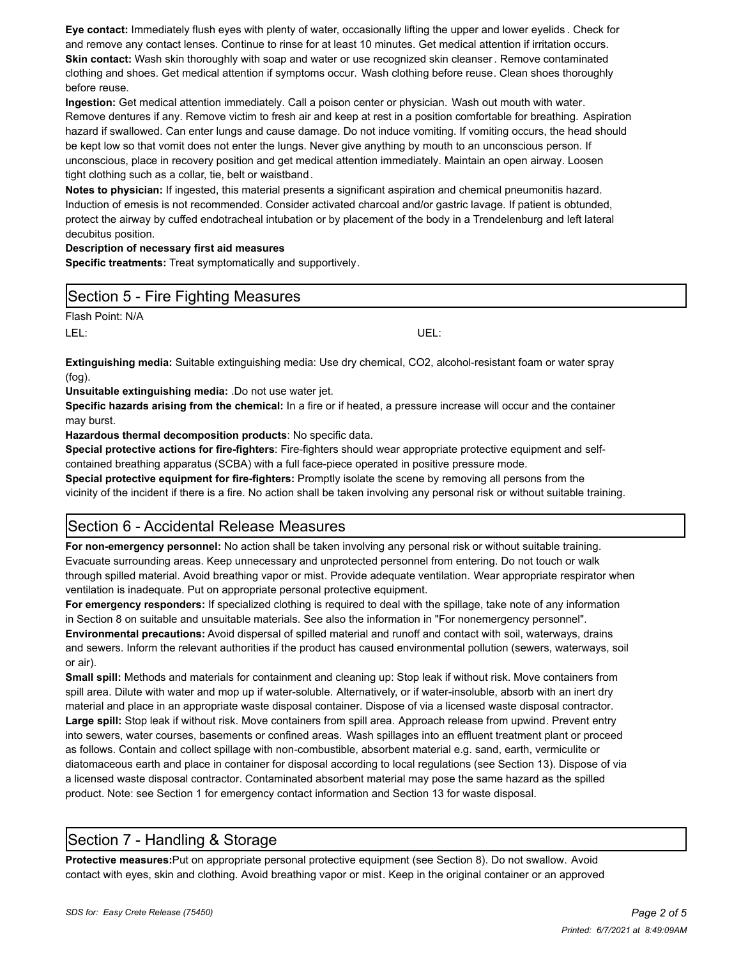**Eye contact:** Immediately flush eyes with plenty of water, occasionally lifting the upper and lower eyelids . Check for and remove any contact lenses. Continue to rinse for at least 10 minutes. Get medical attention if irritation occurs. **Skin contact:** Wash skin thoroughly with soap and water or use recognized skin cleanser. Remove contaminated clothing and shoes. Get medical attention if symptoms occur. Wash clothing before reuse. Clean shoes thoroughly before reuse.

**Ingestion:** Get medical attention immediately. Call a poison center or physician. Wash out mouth with water. Remove dentures if any. Remove victim to fresh air and keep at rest in a position comfortable for breathing. Aspiration hazard if swallowed. Can enter lungs and cause damage. Do not induce vomiting. If vomiting occurs, the head should be kept low so that vomit does not enter the lungs. Never give anything by mouth to an unconscious person. If unconscious, place in recovery position and get medical attention immediately. Maintain an open airway. Loosen tight clothing such as a collar, tie, belt or waistband.

**Notes to physician:** If ingested, this material presents a significant aspiration and chemical pneumonitis hazard. Induction of emesis is not recommended. Consider activated charcoal and/or gastric lavage. If patient is obtunded, protect the airway by cuffed endotracheal intubation or by placement of the body in a Trendelenburg and left lateral decubitus position.

#### **Description of necessary first aid measures**

**Specific treatments:** Treat symptomatically and supportively.

### Section 5 - Fire Fighting Measures

Flash Point: N/A

LEL: UEL:

**Extinguishing media:** Suitable extinguishing media: Use dry chemical, CO2, alcohol-resistant foam or water spray (fog).

**Unsuitable extinguishing media:** .Do not use water jet.

**Specific hazards arising from the chemical:** In a fire or if heated, a pressure increase will occur and the container may burst.

**Hazardous thermal decomposition products**: No specific data.

**Special protective actions for fire-fighters**: Fire-fighters should wear appropriate protective equipment and selfcontained breathing apparatus (SCBA) with a full face-piece operated in positive pressure mode.

**Special protective equipment for fire-fighters:** Promptly isolate the scene by removing all persons from the vicinity of the incident if there is a fire. No action shall be taken involving any personal risk or without suitable training.

### Section 6 - Accidental Release Measures

**For non-emergency personnel:** No action shall be taken involving any personal risk or without suitable training. Evacuate surrounding areas. Keep unnecessary and unprotected personnel from entering. Do not touch or walk through spilled material. Avoid breathing vapor or mist. Provide adequate ventilation. Wear appropriate respirator when ventilation is inadequate. Put on appropriate personal protective equipment.

**For emergency responders:** If specialized clothing is required to deal with the spillage, take note of any information in Section 8 on suitable and unsuitable materials. See also the information in "For nonemergency personnel". **Environmental precautions:** Avoid dispersal of spilled material and runoff and contact with soil, waterways, drains and sewers. Inform the relevant authorities if the product has caused environmental pollution (sewers, waterways, soil or air).

**Small spill:** Methods and materials for containment and cleaning up: Stop leak if without risk. Move containers from spill area. Dilute with water and mop up if water-soluble. Alternatively, or if water-insoluble, absorb with an inert dry material and place in an appropriate waste disposal container. Dispose of via a licensed waste disposal contractor. **Large spill:** Stop leak if without risk. Move containers from spill area. Approach release from upwind. Prevent entry into sewers, water courses, basements or confined areas. Wash spillages into an effluent treatment plant or proceed as follows. Contain and collect spillage with non-combustible, absorbent material e.g. sand, earth, vermiculite or diatomaceous earth and place in container for disposal according to local regulations (see Section 13). Dispose of via a licensed waste disposal contractor. Contaminated absorbent material may pose the same hazard as the spilled product. Note: see Section 1 for emergency contact information and Section 13 for waste disposal.

# Section 7 - Handling & Storage

**Protective measures:**Put on appropriate personal protective equipment (see Section 8). Do not swallow. Avoid contact with eyes, skin and clothing. Avoid breathing vapor or mist. Keep in the original container or an approved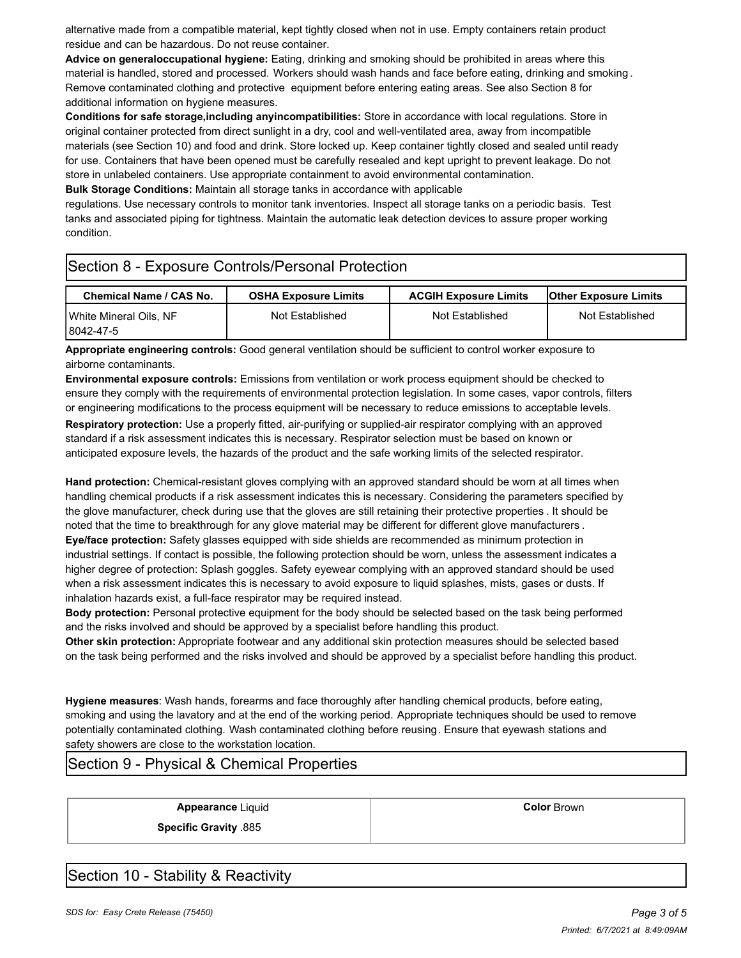alternative made from a compatible material, kept tightly closed when not in use. Empty containers retain product residue and can be hazardous. Do not reuse container.

**Advice on generaloccupational hygiene:** Eating, drinking and smoking should be prohibited in areas where this material is handled, stored and processed. Workers should wash hands and face before eating, drinking and smoking . Remove contaminated clothing and protective equipment before entering eating areas. See also Section 8 for additional information on hygiene measures.

**Conditions for safe storage,including anyincompatibilities:** Store in accordance with local regulations. Store in original container protected from direct sunlight in a dry, cool and well-ventilated area, away from incompatible materials (see Section 10) and food and drink. Store locked up. Keep container tightly closed and sealed until ready for use. Containers that have been opened must be carefully resealed and kept upright to prevent leakage. Do not store in unlabeled containers. Use appropriate containment to avoid environmental contamination.

**Bulk Storage Conditions:** Maintain all storage tanks in accordance with applicable

regulations. Use necessary controls to monitor tank inventories. Inspect all storage tanks on a periodic basis. Test tanks and associated piping for tightness. Maintain the automatic leak detection devices to assure proper working condition.

# Section 8 - Exposure Controls/Personal Protection

| Chemical Name / CAS No.                   | <b>OSHA Exposure Limits</b> | <b>ACGIH Exposure Limits</b> | <b>IOther Exposure Limits</b> |  |
|-------------------------------------------|-----------------------------|------------------------------|-------------------------------|--|
| Not Established<br>White Mineral Oils. NF |                             | Not Established              | Not Established               |  |
| 8042-47-5                                 |                             |                              |                               |  |

**Appropriate engineering controls:** Good general ventilation should be sufficient to control worker exposure to airborne contaminants.

**Environmental exposure controls:** Emissions from ventilation or work process equipment should be checked to ensure they comply with the requirements of environmental protection legislation. In some cases, vapor controls, filters or engineering modifications to the process equipment will be necessary to reduce emissions to acceptable levels.

**Respiratory protection:** Use a properly fitted, air-purifying or supplied-air respirator complying with an approved standard if a risk assessment indicates this is necessary. Respirator selection must be based on known or anticipated exposure levels, the hazards of the product and the safe working limits of the selected respirator.

**Hand protection:** Chemical-resistant gloves complying with an approved standard should be worn at all times when handling chemical products if a risk assessment indicates this is necessary. Considering the parameters specified by the glove manufacturer, check during use that the gloves are still retaining their protective properties . It should be noted that the time to breakthrough for any glove material may be different for different glove manufacturers . **Eye/face protection:** Safety glasses equipped with side shields are recommended as minimum protection in industrial settings. If contact is possible, the following protection should be worn, unless the assessment indicates a

higher degree of protection: Splash goggles. Safety eyewear complying with an approved standard should be used when a risk assessment indicates this is necessary to avoid exposure to liquid splashes, mists, gases or dusts. If inhalation hazards exist, a full-face respirator may be required instead.

**Body protection:** Personal protective equipment for the body should be selected based on the task being performed and the risks involved and should be approved by a specialist before handling this product.

**Other skin protection:** Appropriate footwear and any additional skin protection measures should be selected based on the task being performed and the risks involved and should be approved by a specialist before handling this product.

**Hygiene measures**: Wash hands, forearms and face thoroughly after handling chemical products, before eating, smoking and using the lavatory and at the end of the working period. Appropriate techniques should be used to remove potentially contaminated clothing. Wash contaminated clothing before reusing. Ensure that eyewash stations and safety showers are close to the workstation location.

# Section 9 - Physical & Chemical Properties

**Appearance** Liquid **Color** Brown

**Specific Gravity** .885

Section 10 - Stability & Reactivity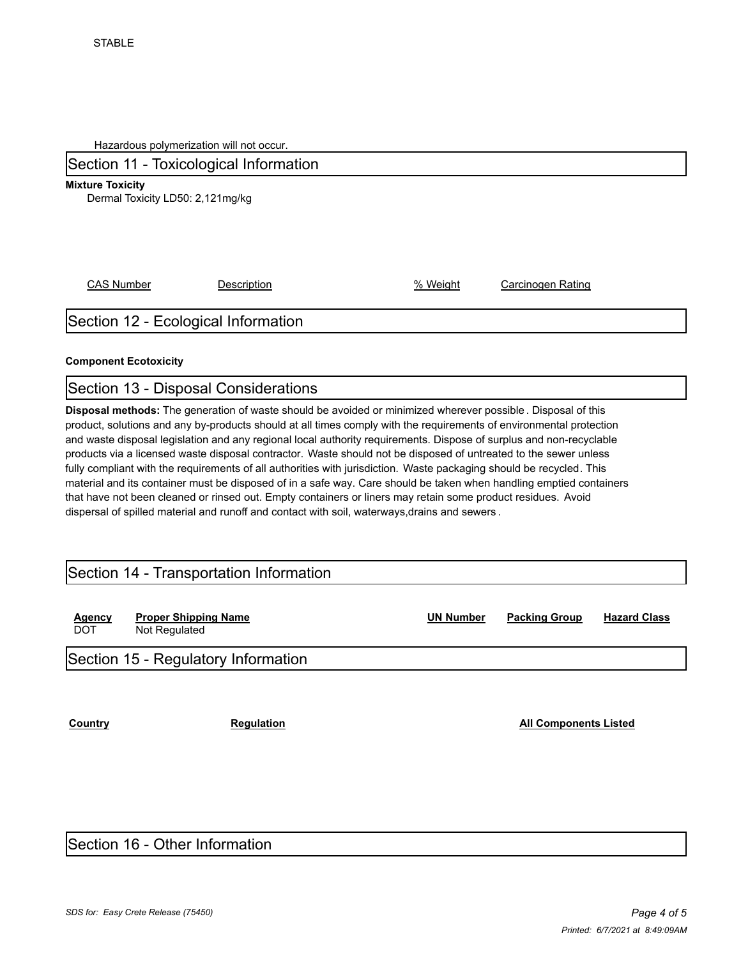Hazardous polymerization will not occur.

# Section 11 - Toxicological Information

**Mixture Toxicity**

Dermal Toxicity LD50: 2,121mg/kg

CAS Number **Description Description CAS Number Carcinogen Rating** 

# Section 12 - Ecological Information

#### **Component Ecotoxicity**

### Section 13 - Disposal Considerations

**Disposal methods:** The generation of waste should be avoided or minimized wherever possible . Disposal of this product, solutions and any by-products should at all times comply with the requirements of environmental protection and waste disposal legislation and any regional local authority requirements. Dispose of surplus and non-recyclable products via a licensed waste disposal contractor. Waste should not be disposed of untreated to the sewer unless fully compliant with the requirements of all authorities with jurisdiction. Waste packaging should be recycled. This material and its container must be disposed of in a safe way. Care should be taken when handling emptied containers that have not been cleaned or rinsed out. Empty containers or liners may retain some product residues. Avoid dispersal of spilled material and runoff and contact with soil, waterways,drains and sewers .

# Section 14 - Transportation Information

| Agency<br><b>DOT</b> | <b>Proper Shipping Name</b><br>Not Regulated | <b>UN Number</b> | <b>Packing Group</b> | <b>Hazard Class</b> |
|----------------------|----------------------------------------------|------------------|----------------------|---------------------|
|                      | Section 15 - Regulatory Information          |                  |                      |                     |

**Country Country Regulation Regulation Regulation All Components Listed** 

### Section 16 - Other Information